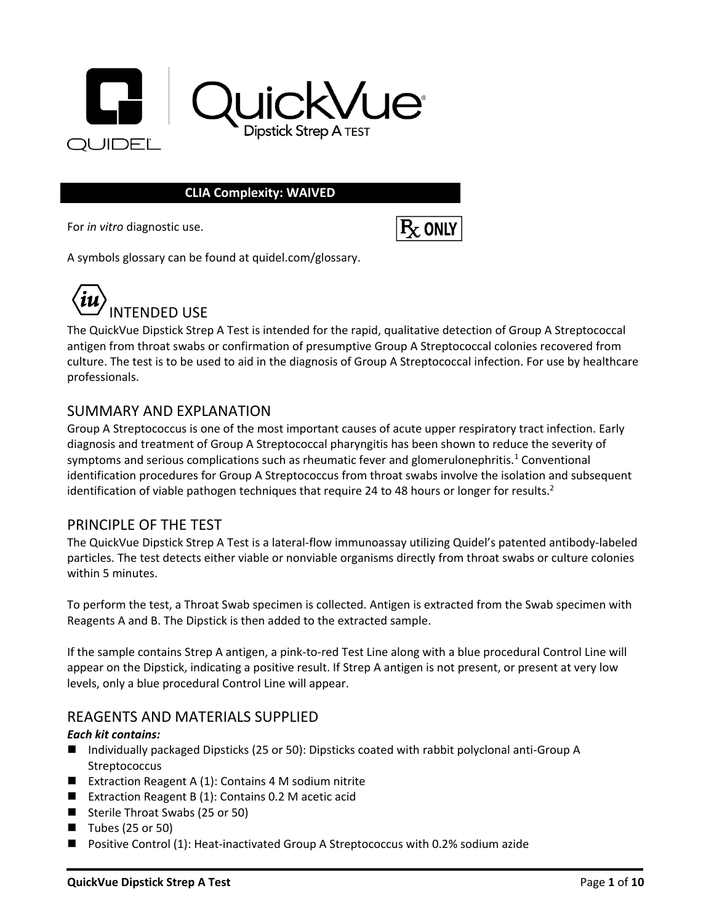

#### **CLIA Complexity: WAIVED**

For *in vitro* diagnostic use.



A symbols glossary can be found at quidel.com/glossary.



The QuickVue Dipstick Strep A Test is intended for the rapid, qualitative detection of Group A Streptococcal antigen from throat swabs or confirmation of presumptive Group A Streptococcal colonies recovered from culture. The test is to be used to aid in the diagnosis of Group A Streptococcal infection. For use by healthcare professionals.

#### SUMMARY AND EXPLANATION

Group A Streptococcus is one of the most important causes of acute upper respiratory tract infection. Early diagnosis and treatment of Group A Streptococcal pharyngitis has been shown to reduce the severity of symptoms and serious complications such as rheumatic fever and glomerulonephritis.<sup>1</sup> Conventional identification procedures for Group A Streptococcus from throat swabs involve the isolation and subsequent identification of viable pathogen techniques that require 24 to 48 hours or longer for results.<sup>2</sup>

#### PRINCIPLE OF THE TEST

The QuickVue Dipstick Strep A Test is a lateral-flow immunoassay utilizing Quidel's patented antibody-labeled particles. The test detects either viable or nonviable organisms directly from throat swabs or culture colonies within 5 minutes.

To perform the test, a Throat Swab specimen is collected. Antigen is extracted from the Swab specimen with Reagents A and B. The Dipstick is then added to the extracted sample.

If the sample contains Strep A antigen, a pink-to-red Test Line along with a blue procedural Control Line will appear on the Dipstick, indicating a positive result. If Strep A antigen is not present, or present at very low levels, only a blue procedural Control Line will appear.

### REAGENTS AND MATERIALS SUPPLIED

#### *Each kit contains:*

- Individually packaged Dipsticks (25 or 50): Dipsticks coated with rabbit polyclonal anti-Group A **Streptococcus**
- Extraction Reagent A (1): Contains 4 M sodium nitrite
- Extraction Reagent B (1): Contains 0.2 M acetic acid
- Sterile Throat Swabs (25 or 50)
- $\blacksquare$  Tubes (25 or 50)
- Positive Control (1): Heat-inactivated Group A Streptococcus with 0.2% sodium azide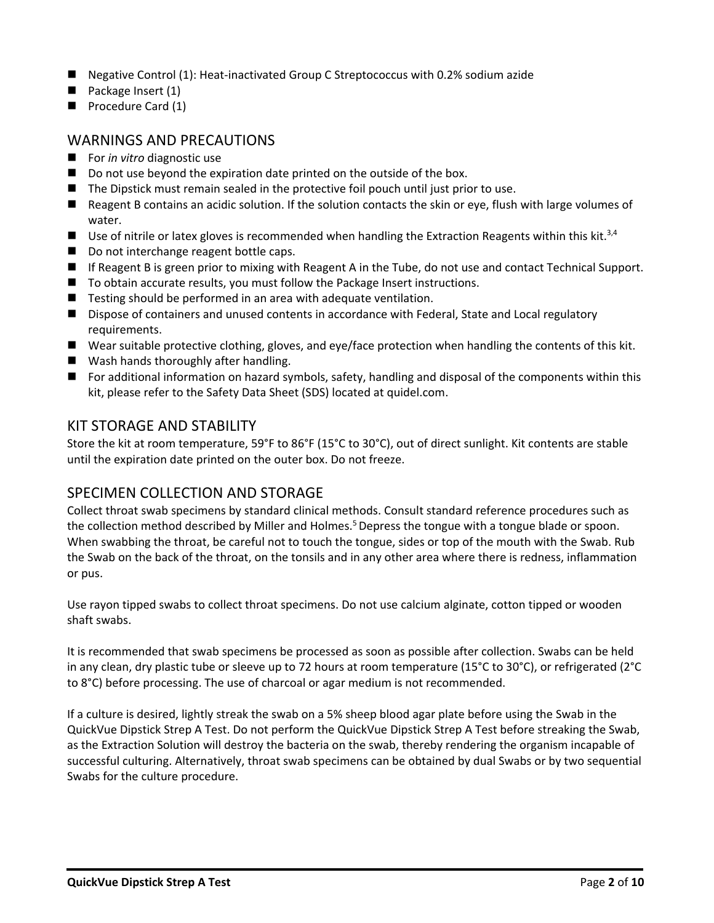- Negative Control (1): Heat-inactivated Group C Streptococcus with 0.2% sodium azide
- Package Insert (1)
- Procedure Card (1)

## WARNINGS AND PRECAUTIONS

- For *in vitro* diagnostic use
- Do not use beyond the expiration date printed on the outside of the box.
- The Dipstick must remain sealed in the protective foil pouch until just prior to use.
- Reagent B contains an acidic solution. If the solution contacts the skin or eye, flush with large volumes of water.
- Use of nitrile or latex gloves is recommended when handling the Extraction Reagents within this kit.<sup>3,4</sup>
- Do not interchange reagent bottle caps.
- If Reagent B is green prior to mixing with Reagent A in the Tube, do not use and contact Technical Support.
- To obtain accurate results, you must follow the Package Insert instructions.
- Testing should be performed in an area with adequate ventilation.
- Dispose of containers and unused contents in accordance with Federal, State and Local regulatory requirements.
- Wear suitable protective clothing, gloves, and eye/face protection when handling the contents of this kit.
- Wash hands thoroughly after handling.
- For additional information on hazard symbols, safety, handling and disposal of the components within this kit, please refer to the Safety Data Sheet (SDS) located at quidel.com.

### KIT STORAGE AND STABILITY

Store the kit at room temperature, 59°F to 86°F (15°C to 30°C), out of direct sunlight. Kit contents are stable until the expiration date printed on the outer box. Do not freeze.

### SPECIMEN COLLECTION AND STORAGE

Collect throat swab specimens by standard clinical methods. Consult standard reference procedures such as the collection method described by Miller and Holmes.<sup>5</sup> Depress the tongue with a tongue blade or spoon. When swabbing the throat, be careful not to touch the tongue, sides or top of the mouth with the Swab. Rub the Swab on the back of the throat, on the tonsils and in any other area where there is redness, inflammation or pus.

Use rayon tipped swabs to collect throat specimens. Do not use calcium alginate, cotton tipped or wooden shaft swabs.

It is recommended that swab specimens be processed as soon as possible after collection. Swabs can be held in any clean, dry plastic tube or sleeve up to 72 hours at room temperature (15°C to 30°C), or refrigerated (2°C to 8°C) before processing. The use of charcoal or agar medium is not recommended.

If a culture is desired, lightly streak the swab on a 5% sheep blood agar plate before using the Swab in the QuickVue Dipstick Strep A Test. Do not perform the QuickVue Dipstick Strep A Test before streaking the Swab, as the Extraction Solution will destroy the bacteria on the swab, thereby rendering the organism incapable of successful culturing. Alternatively, throat swab specimens can be obtained by dual Swabs or by two sequential Swabs for the culture procedure.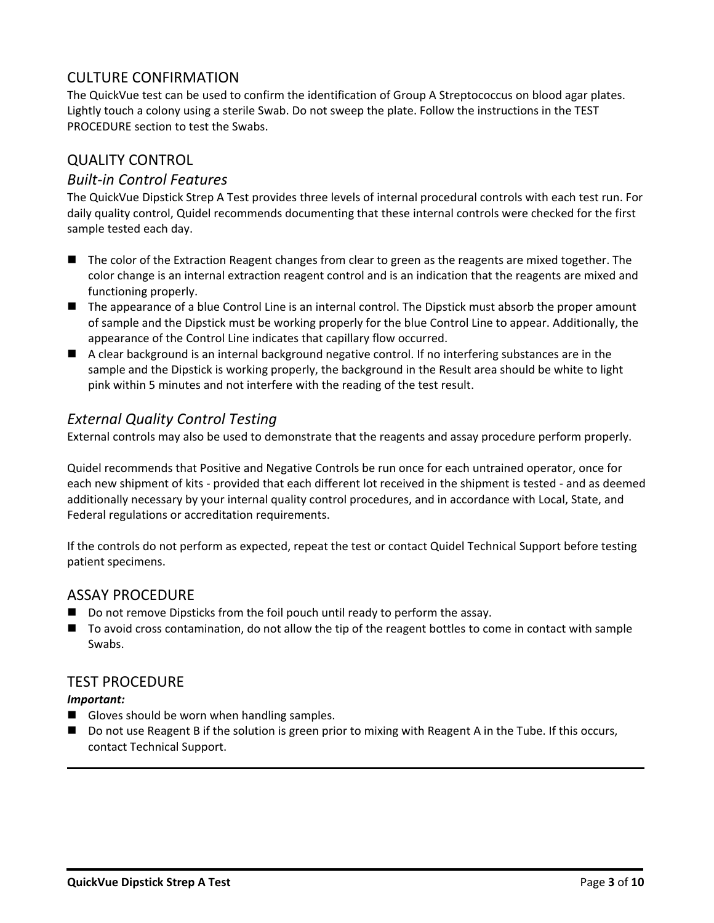# CULTURE CONFIRMATION

The QuickVue test can be used to confirm the identification of Group A Streptococcus on blood agar plates. Lightly touch a colony using a sterile Swab. Do not sweep the plate. Follow the instructions in the TEST PROCEDURE section to test the Swabs.

# QUALITY CONTROL

## *Built-in Control Features*

The QuickVue Dipstick Strep A Test provides three levels of internal procedural controls with each test run. For daily quality control, Quidel recommends documenting that these internal controls were checked for the first sample tested each day.

- The color of the Extraction Reagent changes from clear to green as the reagents are mixed together. The color change is an internal extraction reagent control and is an indication that the reagents are mixed and functioning properly.
- The appearance of a blue Control Line is an internal control. The Dipstick must absorb the proper amount of sample and the Dipstick must be working properly for the blue Control Line to appear. Additionally, the appearance of the Control Line indicates that capillary flow occurred.
- A clear background is an internal background negative control. If no interfering substances are in the sample and the Dipstick is working properly, the background in the Result area should be white to light pink within 5 minutes and not interfere with the reading of the test result.

# *External Quality Control Testing*

External controls may also be used to demonstrate that the reagents and assay procedure perform properly.

Quidel recommends that Positive and Negative Controls be run once for each untrained operator, once for each new shipment of kits - provided that each different lot received in the shipment is tested - and as deemed additionally necessary by your internal quality control procedures, and in accordance with Local, State, and Federal regulations or accreditation requirements.

If the controls do not perform as expected, repeat the test or contact Quidel Technical Support before testing patient specimens.

### ASSAY PROCEDURE

- Do not remove Dipsticks from the foil pouch until ready to perform the assay.
- To avoid cross contamination, do not allow the tip of the reagent bottles to come in contact with sample Swabs.

### TEST PROCEDURE

#### *Important:*

- Gloves should be worn when handling samples.
- Do not use Reagent B if the solution is green prior to mixing with Reagent A in the Tube. If this occurs, contact Technical Support.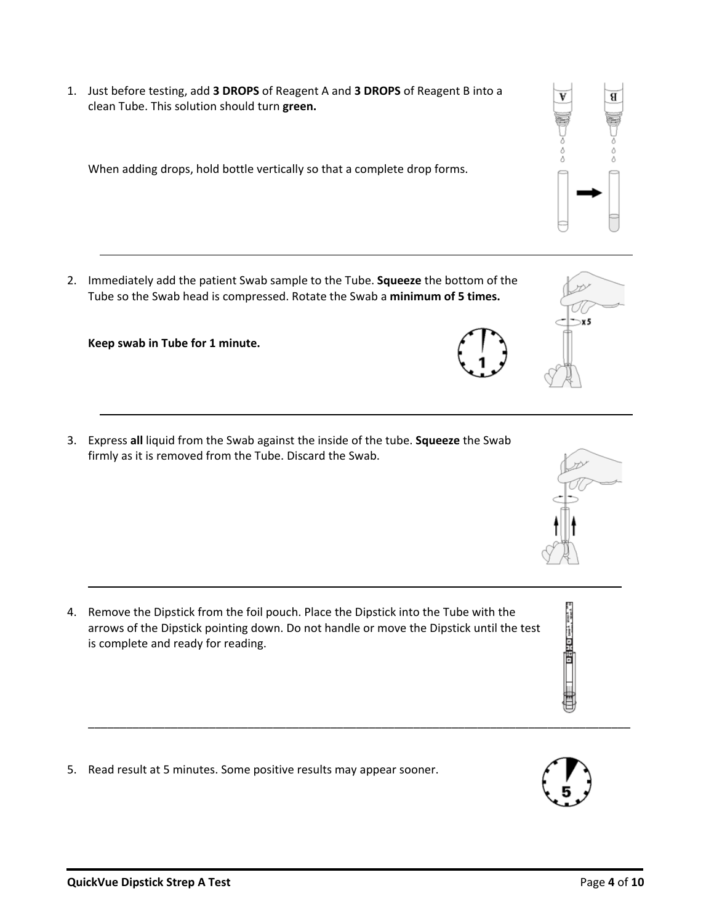1. Just before testing, add **3 DROPS** of Reagent A and **3 DROPS** of Reagent B into a clean Tube. This solution should turn **green.**

When adding drops, hold bottle vertically so that a complete drop forms.

2. Immediately add the patient Swab sample to the Tube. **Squeeze** the bottom of the Tube so the Swab head is compressed. Rotate the Swab a **minimum of 5 times.**

**Keep swab in Tube for 1 minute.**

3. Express **all** liquid from the Swab against the inside of the tube. **Squeeze** the Swab firmly as it is removed from the Tube. Discard the Swab.

arrows of the Dipstick pointing down. Do not handle or move the Dipstick until the test is complete and ready for reading.

\_\_\_\_\_\_\_\_\_\_\_\_\_\_\_\_\_\_\_\_\_\_\_\_\_\_\_\_\_\_\_\_\_\_\_\_\_\_\_\_\_\_\_\_\_\_\_\_\_\_\_\_\_\_\_\_\_\_\_\_\_\_\_\_\_\_\_\_\_\_\_\_\_\_\_\_\_\_\_\_\_\_\_\_\_

4. Remove the Dipstick from the foil pouch. Place the Dipstick into the Tube with the

5. Read result at 5 minutes. Some positive results may appear sooner.



 $\mathbf{x}$ 5







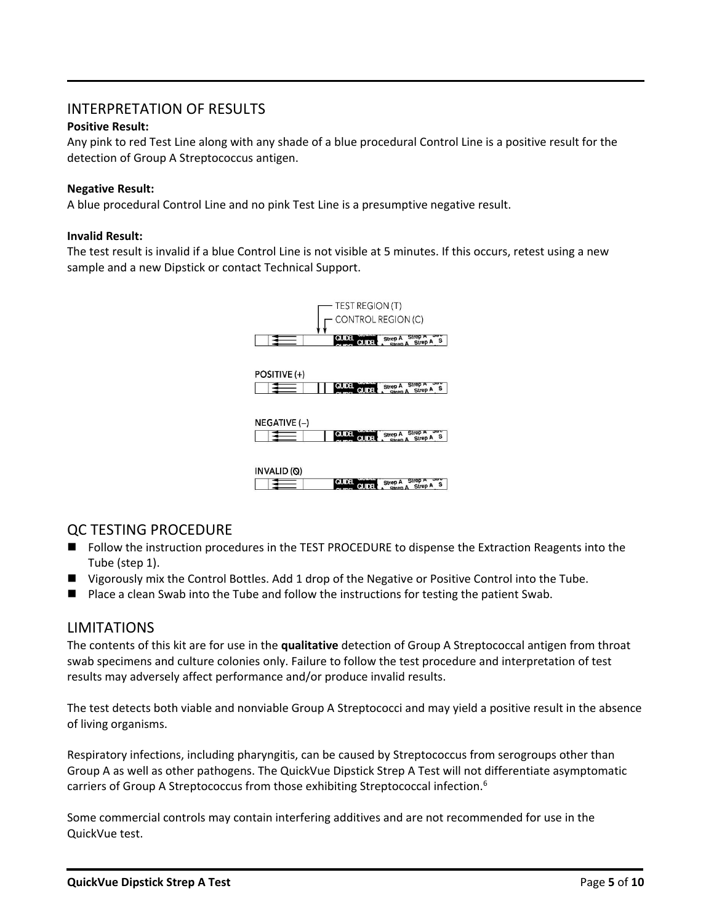## INTERPRETATION OF RESULTS

#### **Positive Result:**

Any pink to red Test Line along with any shade of a blue procedural Control Line is a positive result for the detection of Group A Streptococcus antigen.

#### **Negative Result:**

A blue procedural Control Line and no pink Test Line is a presumptive negative result.

#### **Invalid Result:**

The test result is invalid if a blue Control Line is not visible at 5 minutes. If this occurs, retest using a new sample and a new Dipstick or contact Technical Support.



## QC TESTING PROCEDURE

- Follow the instruction procedures in the TEST PROCEDURE to dispense the Extraction Reagents into the Tube (step 1).
- Vigorously mix the Control Bottles. Add 1 drop of the Negative or Positive Control into the Tube.
- Place a clean Swab into the Tube and follow the instructions for testing the patient Swab.

### LIMITATIONS

The contents of this kit are for use in the **qualitative** detection of Group A Streptococcal antigen from throat swab specimens and culture colonies only. Failure to follow the test procedure and interpretation of test results may adversely affect performance and/or produce invalid results.

The test detects both viable and nonviable Group A Streptococci and may yield a positive result in the absence of living organisms.

Respiratory infections, including pharyngitis, can be caused by Streptococcus from serogroups other than Group A as well as other pathogens. The QuickVue Dipstick Strep A Test will not differentiate asymptomatic carriers of Group A Streptococcus from those exhibiting Streptococcal infection.<sup>6</sup>

Some commercial controls may contain interfering additives and are not recommended for use in the QuickVue test.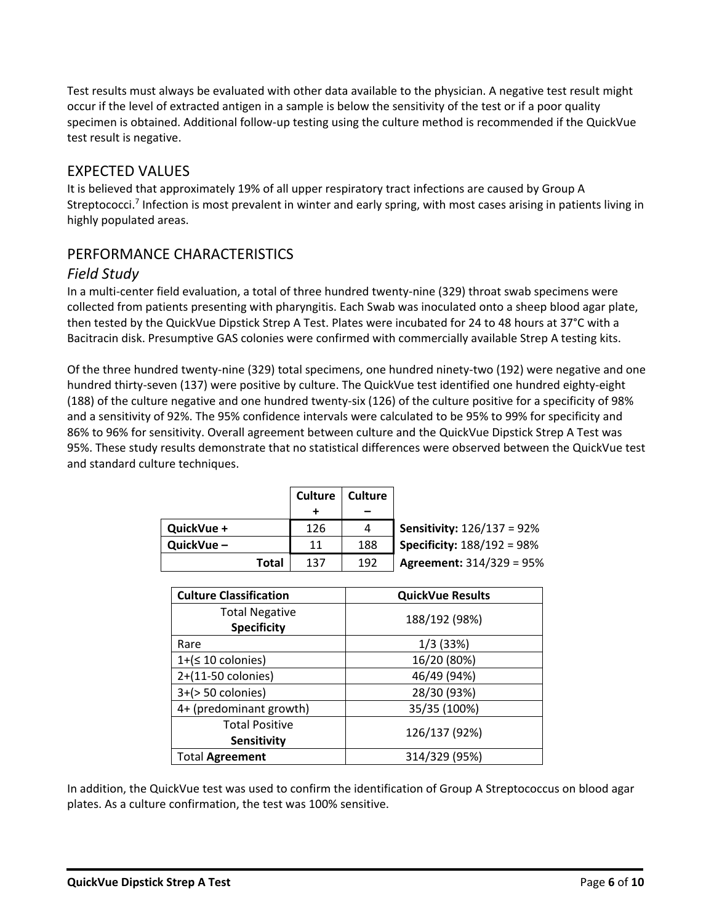Test results must always be evaluated with other data available to the physician. A negative test result might occur if the level of extracted antigen in a sample is below the sensitivity of the test or if a poor quality specimen is obtained. Additional follow-up testing using the culture method is recommended if the QuickVue test result is negative.

## EXPECTED VALUES

It is believed that approximately 19% of all upper respiratory tract infections are caused by Group A Streptococci.<sup>7</sup> Infection is most prevalent in winter and early spring, with most cases arising in patients living in highly populated areas.

# PERFORMANCE CHARACTERISTICS

## *Field Study*

In a multi-center field evaluation, a total of three hundred twenty-nine (329) throat swab specimens were collected from patients presenting with pharyngitis. Each Swab was inoculated onto a sheep blood agar plate, then tested by the QuickVue Dipstick Strep A Test. Plates were incubated for 24 to 48 hours at 37°C with a Bacitracin disk. Presumptive GAS colonies were confirmed with commercially available Strep A testing kits.

Of the three hundred twenty-nine (329) total specimens, one hundred ninety-two (192) were negative and one hundred thirty-seven (137) were positive by culture. The QuickVue test identified one hundred eighty-eight (188) of the culture negative and one hundred twenty-six (126) of the culture positive for a specificity of 98% and a sensitivity of 92%. The 95% confidence intervals were calculated to be 95% to 99% for specificity and 86% to 96% for sensitivity. Overall agreement between culture and the QuickVue Dipstick Strep A Test was 95%. These study results demonstrate that no statistical differences were observed between the QuickVue test and standard culture techniques.

|            |       | <b>Culture</b> | <b>Culture</b> |                                   |
|------------|-------|----------------|----------------|-----------------------------------|
|            |       |                |                |                                   |
| QuickVue + |       | 126            | 4              | <b>Sensitivity: 126/137 = 92%</b> |
| QuickVue-  |       | 11             | 188            | <b>Specificity: 188/192 = 98%</b> |
|            | Total | 137            | 192            | <b>Agreement: 314/329 = 95%</b>   |

| <b>Culture Classification</b> | <b>QuickVue Results</b> |  |
|-------------------------------|-------------------------|--|
| <b>Total Negative</b>         | 188/192 (98%)           |  |
| <b>Specificity</b>            |                         |  |
| Rare                          | 1/3(33%)                |  |
| $1+(510 \text{ colonies})$    | 16/20 (80%)             |  |
| 2+(11-50 colonies)            | 46/49 (94%)             |  |
| $3+(>50$ colonies)            | 28/30 (93%)             |  |
| 4+ (predominant growth)       | 35/35 (100%)            |  |
| <b>Total Positive</b>         | 126/137 (92%)           |  |
| <b>Sensitivity</b>            |                         |  |
| <b>Total Agreement</b>        | 314/329 (95%)           |  |

In addition, the QuickVue test was used to confirm the identification of Group A Streptococcus on blood agar plates. As a culture confirmation, the test was 100% sensitive.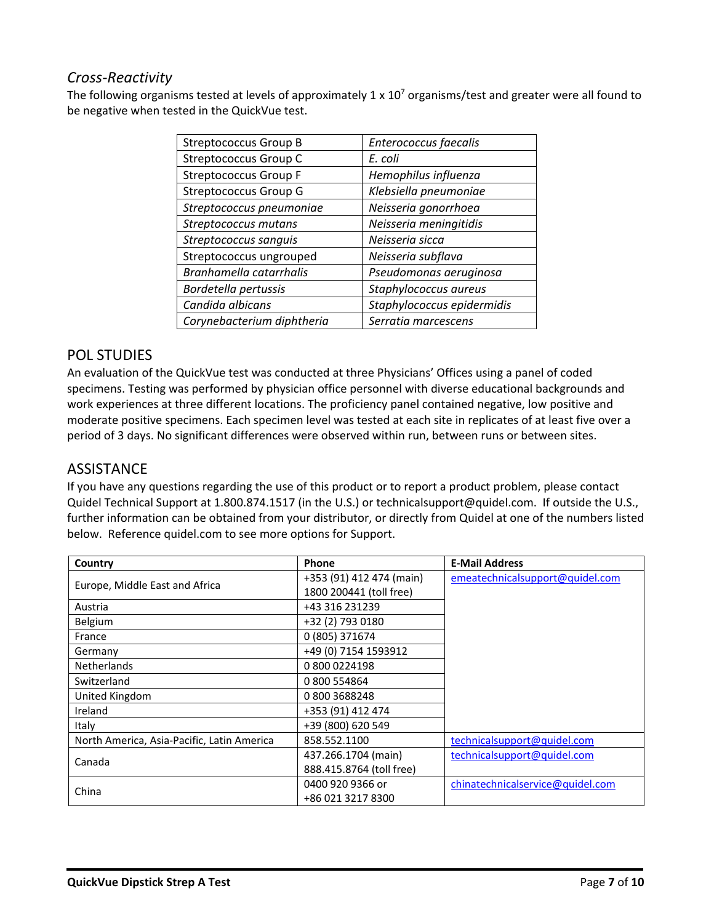# *Cross-Reactivity*

The following organisms tested at levels of approximately 1 x  $10<sup>7</sup>$  organisms/test and greater were all found to be negative when tested in the QuickVue test.

| <b>Streptococcus Group B</b> | Enterococcus faecalis      |  |
|------------------------------|----------------------------|--|
| Streptococcus Group C        | E. coli                    |  |
| <b>Streptococcus Group F</b> | Hemophilus influenza       |  |
| Streptococcus Group G        | Klebsiella pneumoniae      |  |
| Streptococcus pneumoniae     | Neisseria gonorrhoea       |  |
| Streptococcus mutans         | Neisseria meningitidis     |  |
| Streptococcus sanguis        | Neisseria sicca            |  |
| Streptococcus ungrouped      | Neisseria subflava         |  |
| Branhamella catarrhalis      | Pseudomonas aeruginosa     |  |
| Bordetella pertussis         | Staphylococcus aureus      |  |
| Candida albicans             | Staphylococcus epidermidis |  |
| Corynebacterium diphtheria   | Serratia marcescens        |  |

## POL STUDIES

An evaluation of the QuickVue test was conducted at three Physicians' Offices using a panel of coded specimens. Testing was performed by physician office personnel with diverse educational backgrounds and work experiences at three different locations. The proficiency panel contained negative, low positive and moderate positive specimens. Each specimen level was tested at each site in replicates of at least five over a period of 3 days. No significant differences were observed within run, between runs or between sites.

## **ASSISTANCE**

If you have any questions regarding the use of this product or to report a product problem, please contact Quidel Technical Support at 1.800.874.1517 (in the U.S.) or technicalsupport@quidel.com. If outside the U.S., further information can be obtained from your distributor, or directly from Quidel at one of the numbers listed below. Reference quidel.com to see more options for Support.

| Country                                    | <b>Phone</b>             | <b>E-Mail Address</b>            |
|--------------------------------------------|--------------------------|----------------------------------|
|                                            | +353 (91) 412 474 (main) | emeatechnicalsupport@quidel.com  |
| Europe, Middle East and Africa             | 1800 200441 (toll free)  |                                  |
| Austria                                    | +43 316 231239           |                                  |
| Belgium                                    | +32 (2) 793 0180         |                                  |
| France                                     | 0 (805) 371674           |                                  |
| Germany                                    | +49 (0) 7154 1593912     |                                  |
| <b>Netherlands</b>                         | 08000224198              |                                  |
| Switzerland                                | 0 800 554864             |                                  |
| United Kingdom                             | 08003688248              |                                  |
| Ireland                                    | +353 (91) 412 474        |                                  |
| Italy                                      | +39 (800) 620 549        |                                  |
| North America, Asia-Pacific, Latin America | 858.552.1100             | technicalsupport@quidel.com      |
|                                            | 437.266.1704 (main)      | technicalsupport@quidel.com      |
| Canada                                     | 888.415.8764 (toll free) |                                  |
| China                                      | 0400 920 9366 or         | chinatechnicalservice@quidel.com |
|                                            | +86 021 3217 8300        |                                  |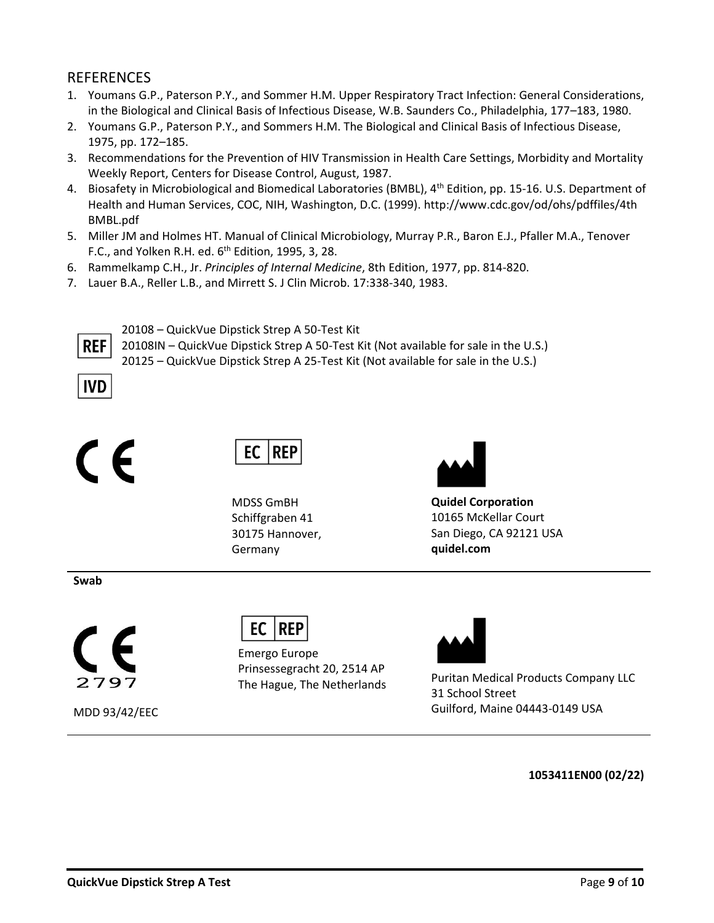## REFERENCES

- 1. Youmans G.P., Paterson P.Y., and Sommer H.M. Upper Respiratory Tract Infection: General Considerations, in the Biological and Clinical Basis of Infectious Disease, W.B. Saunders Co., Philadelphia, 177–183, 1980.
- 2. Youmans G.P., Paterson P.Y., and Sommers H.M. The Biological and Clinical Basis of Infectious Disease, 1975, pp. 172–185.
- 3. Recommendations for the Prevention of HIV Transmission in Health Care Settings, Morbidity and Mortality Weekly Report, Centers for Disease Control, August, 1987.
- 4. Biosafety in Microbiological and Biomedical Laboratories (BMBL), 4<sup>th</sup> Edition, pp. 15-16. U.S. Department of Health and Human Services, COC, NIH, Washington, D.C. (1999)[. http://www.cdc.gov/od/ohs/pdffiles/4th](http://www.cdc.gov/od/ohs/pdffiles/4th) BMBL.pdf
- 5. Miller JM and Holmes HT. Manual of Clinical Microbiology, Murray P.R., Baron E.J., Pfaller M.A., Tenover F.C., and Yolken R.H. ed.  $6<sup>th</sup>$  Edition, 1995, 3, 28.
- 6. Rammelkamp C.H., Jr. *Principles of Internal Medicine*, 8th Edition, 1977, pp. 814-820.
- 7. Lauer B.A., Reller L.B., and Mirrett S. J Clin Microb. 17:338-340, 1983.



20108 – QuickVue Dipstick Strep A 50-Test Kit

20108IN – QuickVue Dipstick Strep A 50-Test Kit (Not available for sale in the U.S.) 20125 – QuickVue Dipstick Strep A 25-Test Kit (Not available for sale in the U.S.)







MDSS GmBH Schiffgraben 41 30175 Hannover, Germany



**Quidel Corporation** 10165 McKellar Court San Diego, CA 92121 USA **quidel.com**

**Swab**



MDD 93/42/EEC



Emergo Europe Prinsessegracht 20, 2514 AP



The Hague, The Netherlands<br>The Hague, The Netherlands 31 School Street Guilford, Maine 04443-0149 USA

**1053411EN00 (02/22)**